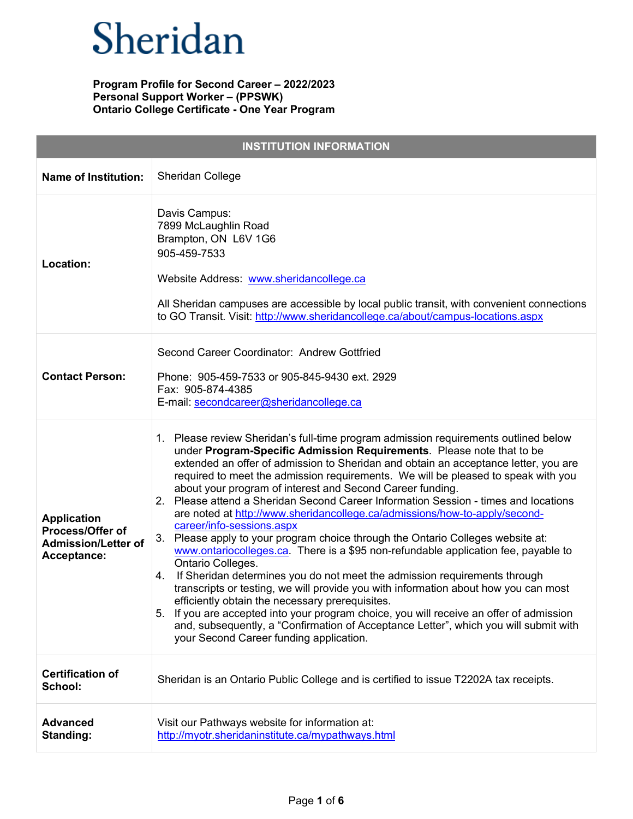| <b>INSTITUTION INFORMATION</b>                                                      |                                                                                                                                                                                                                                                                                                                                                                                                                                                                                                                                                                                                                                                                                                                                                                                                                                                                                                                                                                                                                                                                                                                                                                                                                                                                     |  |
|-------------------------------------------------------------------------------------|---------------------------------------------------------------------------------------------------------------------------------------------------------------------------------------------------------------------------------------------------------------------------------------------------------------------------------------------------------------------------------------------------------------------------------------------------------------------------------------------------------------------------------------------------------------------------------------------------------------------------------------------------------------------------------------------------------------------------------------------------------------------------------------------------------------------------------------------------------------------------------------------------------------------------------------------------------------------------------------------------------------------------------------------------------------------------------------------------------------------------------------------------------------------------------------------------------------------------------------------------------------------|--|
| <b>Name of Institution:</b>                                                         | Sheridan College                                                                                                                                                                                                                                                                                                                                                                                                                                                                                                                                                                                                                                                                                                                                                                                                                                                                                                                                                                                                                                                                                                                                                                                                                                                    |  |
| Location:                                                                           | Davis Campus:<br>7899 McLaughlin Road<br>Brampton, ON L6V 1G6<br>905-459-7533<br>Website Address: www.sheridancollege.ca<br>All Sheridan campuses are accessible by local public transit, with convenient connections<br>to GO Transit. Visit: http://www.sheridancollege.ca/about/campus-locations.aspx                                                                                                                                                                                                                                                                                                                                                                                                                                                                                                                                                                                                                                                                                                                                                                                                                                                                                                                                                            |  |
| <b>Contact Person:</b>                                                              | Second Career Coordinator: Andrew Gottfried<br>Phone: 905-459-7533 or 905-845-9430 ext. 2929<br>Fax: 905-874-4385<br>E-mail: secondcareer@sheridancollege.ca                                                                                                                                                                                                                                                                                                                                                                                                                                                                                                                                                                                                                                                                                                                                                                                                                                                                                                                                                                                                                                                                                                        |  |
| <b>Application</b><br>Process/Offer of<br><b>Admission/Letter of</b><br>Acceptance: | 1. Please review Sheridan's full-time program admission requirements outlined below<br>under Program-Specific Admission Requirements. Please note that to be<br>extended an offer of admission to Sheridan and obtain an acceptance letter, you are<br>required to meet the admission requirements. We will be pleased to speak with you<br>about your program of interest and Second Career funding.<br>2. Please attend a Sheridan Second Career Information Session - times and locations<br>are noted at http://www.sheridancollege.ca/admissions/how-to-apply/second-<br>career/info-sessions.aspx<br>3.<br>Please apply to your program choice through the Ontario Colleges website at:<br>www.ontariocolleges.ca. There is a \$95 non-refundable application fee, payable to<br>Ontario Colleges.<br>If Sheridan determines you do not meet the admission requirements through<br>4.<br>transcripts or testing, we will provide you with information about how you can most<br>efficiently obtain the necessary prerequisites.<br>5. If you are accepted into your program choice, you will receive an offer of admission<br>and, subsequently, a "Confirmation of Acceptance Letter", which you will submit with<br>your Second Career funding application. |  |
| <b>Certification of</b><br>School:                                                  | Sheridan is an Ontario Public College and is certified to issue T2202A tax receipts.                                                                                                                                                                                                                                                                                                                                                                                                                                                                                                                                                                                                                                                                                                                                                                                                                                                                                                                                                                                                                                                                                                                                                                                |  |
| <b>Advanced</b><br>Standing:                                                        | Visit our Pathways website for information at:<br>http://myotr.sheridaninstitute.ca/mypathways.html                                                                                                                                                                                                                                                                                                                                                                                                                                                                                                                                                                                                                                                                                                                                                                                                                                                                                                                                                                                                                                                                                                                                                                 |  |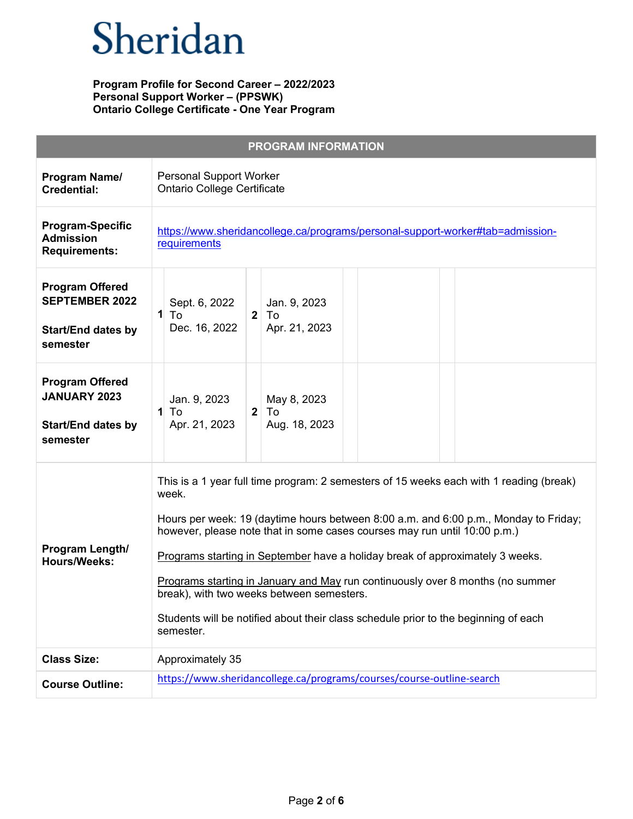|                                                                                          | <b>PROGRAM INFORMATION</b>                                                                                                                                                                                                                                                                                                                                                                                                                                                                                                                                                                |
|------------------------------------------------------------------------------------------|-------------------------------------------------------------------------------------------------------------------------------------------------------------------------------------------------------------------------------------------------------------------------------------------------------------------------------------------------------------------------------------------------------------------------------------------------------------------------------------------------------------------------------------------------------------------------------------------|
| Program Name/<br><b>Credential:</b>                                                      | <b>Personal Support Worker</b><br><b>Ontario College Certificate</b>                                                                                                                                                                                                                                                                                                                                                                                                                                                                                                                      |
| <b>Program-Specific</b><br><b>Admission</b><br><b>Requirements:</b>                      | https://www.sheridancollege.ca/programs/personal-support-worker#tab=admission-<br>requirements                                                                                                                                                                                                                                                                                                                                                                                                                                                                                            |
| <b>Program Offered</b><br><b>SEPTEMBER 2022</b><br><b>Start/End dates by</b><br>semester | Jan. 9, 2023<br>Sept. 6, 2022<br>$1$ To<br>$\mathbf{2}$<br>To<br>Apr. 21, 2023<br>Dec. 16, 2022                                                                                                                                                                                                                                                                                                                                                                                                                                                                                           |
| <b>Program Offered</b><br><b>JANUARY 2023</b><br><b>Start/End dates by</b><br>semester   | Jan. 9, 2023<br>May 8, 2023<br>To<br>$\mathbf{2}$<br>To<br>$\mathbf{1}$<br>Aug. 18, 2023<br>Apr. 21, 2023                                                                                                                                                                                                                                                                                                                                                                                                                                                                                 |
| Program Length/<br><b>Hours/Weeks:</b>                                                   | This is a 1 year full time program: 2 semesters of 15 weeks each with 1 reading (break)<br>week.<br>Hours per week: 19 (daytime hours between 8:00 a.m. and 6:00 p.m., Monday to Friday;<br>however, please note that in some cases courses may run until 10:00 p.m.)<br>Programs starting in September have a holiday break of approximately 3 weeks.<br>Programs starting in January and May run continuously over 8 months (no summer<br>break), with two weeks between semesters.<br>Students will be notified about their class schedule prior to the beginning of each<br>semester. |
| <b>Class Size:</b>                                                                       | Approximately 35                                                                                                                                                                                                                                                                                                                                                                                                                                                                                                                                                                          |
| <b>Course Outline:</b>                                                                   | https://www.sheridancollege.ca/programs/courses/course-outline-search                                                                                                                                                                                                                                                                                                                                                                                                                                                                                                                     |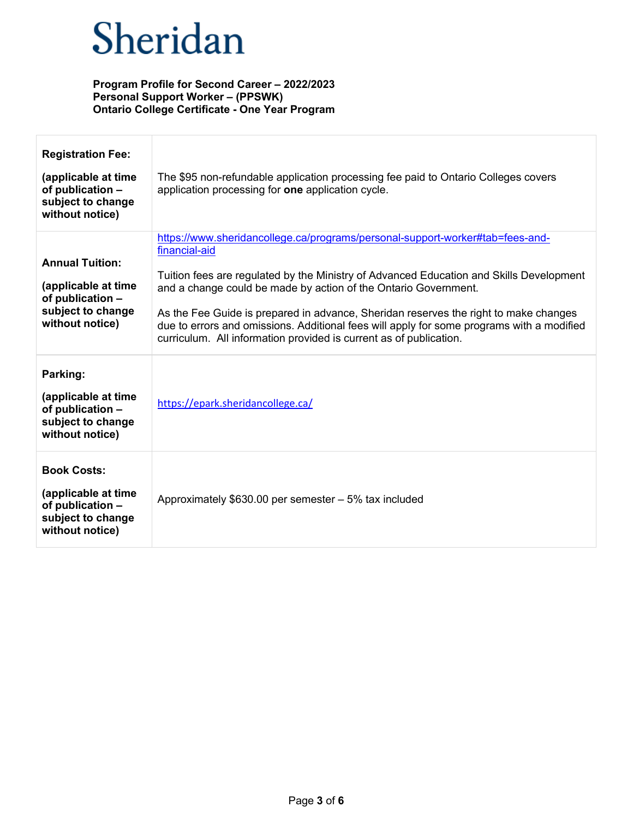| <b>Registration Fee:</b><br>(applicable at time<br>of publication -<br>subject to change<br>without notice) | The \$95 non-refundable application processing fee paid to Ontario Colleges covers<br>application processing for one application cycle.                                                                                                                                                                                                                                                                                                                                                                                 |
|-------------------------------------------------------------------------------------------------------------|-------------------------------------------------------------------------------------------------------------------------------------------------------------------------------------------------------------------------------------------------------------------------------------------------------------------------------------------------------------------------------------------------------------------------------------------------------------------------------------------------------------------------|
| <b>Annual Tuition:</b><br>(applicable at time<br>of publication -<br>subject to change<br>without notice)   | https://www.sheridancollege.ca/programs/personal-support-worker#tab=fees-and-<br>financial-aid<br>Tuition fees are regulated by the Ministry of Advanced Education and Skills Development<br>and a change could be made by action of the Ontario Government.<br>As the Fee Guide is prepared in advance, Sheridan reserves the right to make changes<br>due to errors and omissions. Additional fees will apply for some programs with a modified<br>curriculum. All information provided is current as of publication. |
| Parking:<br>(applicable at time<br>of publication -<br>subject to change<br>without notice)                 | https://epark.sheridancollege.ca/                                                                                                                                                                                                                                                                                                                                                                                                                                                                                       |
| <b>Book Costs:</b><br>(applicable at time<br>of publication -<br>subject to change<br>without notice)       | Approximately $$630.00$ per semester $-5\%$ tax included                                                                                                                                                                                                                                                                                                                                                                                                                                                                |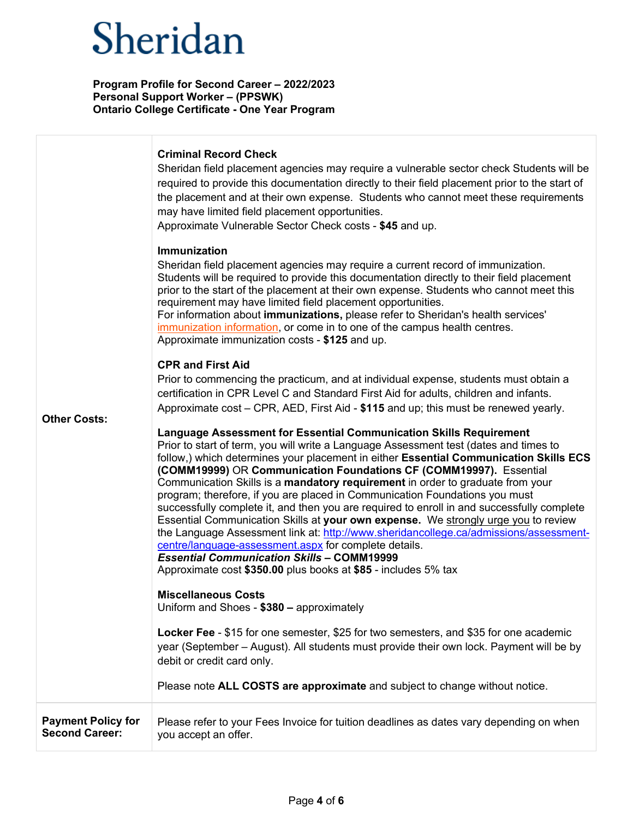| <b>Other Costs:</b>                                | <b>Criminal Record Check</b><br>Sheridan field placement agencies may require a vulnerable sector check Students will be<br>required to provide this documentation directly to their field placement prior to the start of<br>the placement and at their own expense. Students who cannot meet these requirements<br>may have limited field placement opportunities.<br>Approximate Vulnerable Sector Check costs - \$45 and up.<br>Immunization<br>Sheridan field placement agencies may require a current record of immunization.<br>Students will be required to provide this documentation directly to their field placement<br>prior to the start of the placement at their own expense. Students who cannot meet this<br>requirement may have limited field placement opportunities.<br>For information about immunizations, please refer to Sheridan's health services'<br>immunization information, or come in to one of the campus health centres.<br>Approximate immunization costs - \$125 and up.<br><b>CPR and First Aid</b><br>Prior to commencing the practicum, and at individual expense, students must obtain a<br>certification in CPR Level C and Standard First Aid for adults, children and infants.<br>Approximate cost – CPR, AED, First Aid - \$115 and up; this must be renewed yearly.                    |
|----------------------------------------------------|--------------------------------------------------------------------------------------------------------------------------------------------------------------------------------------------------------------------------------------------------------------------------------------------------------------------------------------------------------------------------------------------------------------------------------------------------------------------------------------------------------------------------------------------------------------------------------------------------------------------------------------------------------------------------------------------------------------------------------------------------------------------------------------------------------------------------------------------------------------------------------------------------------------------------------------------------------------------------------------------------------------------------------------------------------------------------------------------------------------------------------------------------------------------------------------------------------------------------------------------------------------------------------------------------------------------------------------|
|                                                    | Language Assessment for Essential Communication Skills Requirement<br>Prior to start of term, you will write a Language Assessment test (dates and times to<br>follow,) which determines your placement in either Essential Communication Skills ECS<br>(COMM19999) OR Communication Foundations CF (COMM19997). Essential<br>Communication Skills is a mandatory requirement in order to graduate from your<br>program; therefore, if you are placed in Communication Foundations you must<br>successfully complete it, and then you are required to enroll in and successfully complete<br>Essential Communication Skills at your own expense. We strongly urge you to review<br>the Language Assessment link at: http://www.sheridancollege.ca/admissions/assessment-<br>centre/language-assessment.aspx for complete details.<br><b>Essential Communication Skills - COMM19999</b><br>Approximate cost \$350.00 plus books at \$85 - includes 5% tax<br><b>Miscellaneous Costs</b><br>Uniform and Shoes - \$380 - approximately<br>Locker Fee - \$15 for one semester, \$25 for two semesters, and \$35 for one academic<br>year (September – August). All students must provide their own lock. Payment will be by<br>debit or credit card only.<br>Please note ALL COSTS are approximate and subject to change without notice. |
| <b>Payment Policy for</b><br><b>Second Career:</b> | Please refer to your Fees Invoice for tuition deadlines as dates vary depending on when<br>you accept an offer.                                                                                                                                                                                                                                                                                                                                                                                                                                                                                                                                                                                                                                                                                                                                                                                                                                                                                                                                                                                                                                                                                                                                                                                                                      |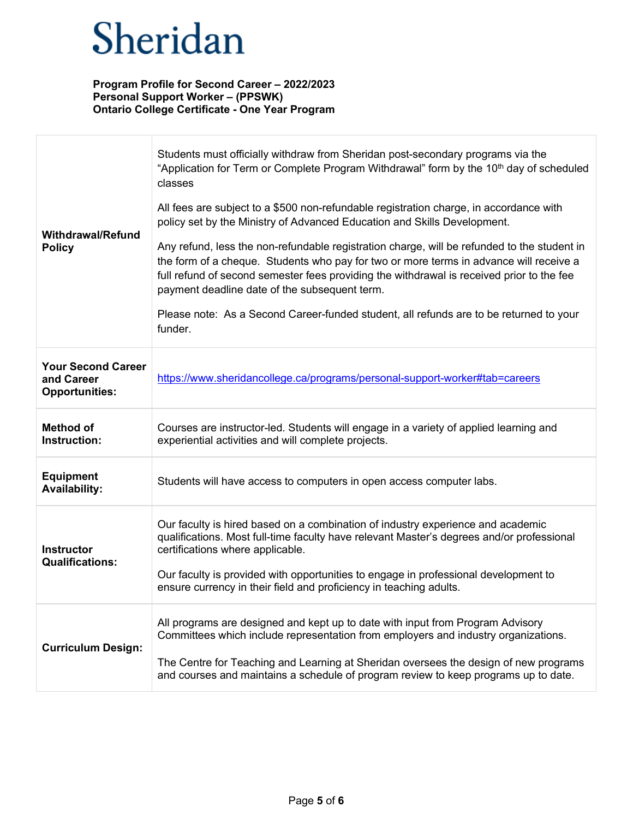| <b>Withdrawal/Refund</b><br><b>Policy</b>                        | Students must officially withdraw from Sheridan post-secondary programs via the<br>"Application for Term or Complete Program Withdrawal" form by the 10 <sup>th</sup> day of scheduled<br>classes<br>All fees are subject to a \$500 non-refundable registration charge, in accordance with<br>policy set by the Ministry of Advanced Education and Skills Development.<br>Any refund, less the non-refundable registration charge, will be refunded to the student in<br>the form of a cheque. Students who pay for two or more terms in advance will receive a<br>full refund of second semester fees providing the withdrawal is received prior to the fee<br>payment deadline date of the subsequent term.<br>Please note: As a Second Career-funded student, all refunds are to be returned to your<br>funder. |
|------------------------------------------------------------------|---------------------------------------------------------------------------------------------------------------------------------------------------------------------------------------------------------------------------------------------------------------------------------------------------------------------------------------------------------------------------------------------------------------------------------------------------------------------------------------------------------------------------------------------------------------------------------------------------------------------------------------------------------------------------------------------------------------------------------------------------------------------------------------------------------------------|
| <b>Your Second Career</b><br>and Career<br><b>Opportunities:</b> | https://www.sheridancollege.ca/programs/personal-support-worker#tab=careers                                                                                                                                                                                                                                                                                                                                                                                                                                                                                                                                                                                                                                                                                                                                         |
| <b>Method of</b><br>Instruction:                                 | Courses are instructor-led. Students will engage in a variety of applied learning and<br>experiential activities and will complete projects.                                                                                                                                                                                                                                                                                                                                                                                                                                                                                                                                                                                                                                                                        |
| <b>Equipment</b><br><b>Availability:</b>                         | Students will have access to computers in open access computer labs.                                                                                                                                                                                                                                                                                                                                                                                                                                                                                                                                                                                                                                                                                                                                                |
| <b>Instructor</b><br><b>Qualifications:</b>                      | Our faculty is hired based on a combination of industry experience and academic<br>qualifications. Most full-time faculty have relevant Master's degrees and/or professional<br>certifications where applicable.<br>Our faculty is provided with opportunities to engage in professional development to<br>ensure currency in their field and proficiency in teaching adults.                                                                                                                                                                                                                                                                                                                                                                                                                                       |
| <b>Curriculum Design:</b>                                        | All programs are designed and kept up to date with input from Program Advisory<br>Committees which include representation from employers and industry organizations.<br>The Centre for Teaching and Learning at Sheridan oversees the design of new programs<br>and courses and maintains a schedule of program review to keep programs up to date.                                                                                                                                                                                                                                                                                                                                                                                                                                                                 |